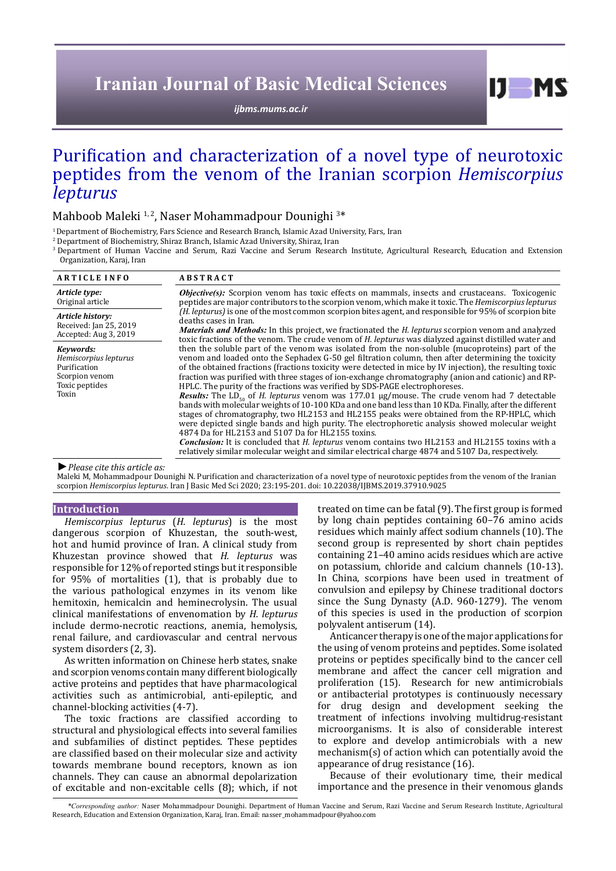# **Iranian Journal of Basic Medical Sciences**

*[ijbms.mums.ac.ir](http://ijbms.mums.ac.ir)*

# Purification and characterization of a novel type of neurotoxic peptides from the venom of the Iranian scorpion *Hemiscorpius lepturus*

Mahboob Maleki <sup>1,2</sup>, Naser Mohammadpour Dounighi <sup>3\*</sup>

<sup>1</sup> Department of Biochemistry, Fars Science and Research Branch, Islamic Azad University, Fars, Iran

2 Department of Biochemistry, Shiraz Branch, Islamic Azad University, Shiraz, Iran

3 Department of Human Vaccine and Serum, Razi Vaccine and Serum Research Institute, Agricultural Research, Education and Extension Organization, Karaj, Iran

| <b>ARTICLE INFO</b>                                                                             | <b>ABSTRACT</b>                                                                                                                                                                                                                                                                                                                                                                                                                                                                                                                                                                                                                                                                                                                                                                                                                                                                                                                                                                                                                                                                                                                                                                                                                                      |
|-------------------------------------------------------------------------------------------------|------------------------------------------------------------------------------------------------------------------------------------------------------------------------------------------------------------------------------------------------------------------------------------------------------------------------------------------------------------------------------------------------------------------------------------------------------------------------------------------------------------------------------------------------------------------------------------------------------------------------------------------------------------------------------------------------------------------------------------------------------------------------------------------------------------------------------------------------------------------------------------------------------------------------------------------------------------------------------------------------------------------------------------------------------------------------------------------------------------------------------------------------------------------------------------------------------------------------------------------------------|
| Article type:<br>Original article                                                               | <i>Objective(s)</i> : Scorpion venom has toxic effects on mammals, insects and crustaceans. Toxicogenic<br>peptides are major contributors to the scorpion venom, which make it toxic. The <i>Hemiscorpius lepturus</i>                                                                                                                                                                                                                                                                                                                                                                                                                                                                                                                                                                                                                                                                                                                                                                                                                                                                                                                                                                                                                              |
| Article history:<br>Received: Jan 25, 2019<br>Accepted: Aug 3, 2019                             | (H. lepturus) is one of the most common scorpion bites agent, and responsible for 95% of scorpion bite<br>deaths cases in Iran.<br><b>Materials and Methods:</b> In this project, we fractionated the <i>H. lepturus</i> scorpion venom and analyzed<br>toxic fractions of the venom. The crude venom of H. lepturus was dialyzed against distilled water and                                                                                                                                                                                                                                                                                                                                                                                                                                                                                                                                                                                                                                                                                                                                                                                                                                                                                        |
| Kevwords:<br>Hemiscorpius lepturus<br>Purification<br>Scorpion venom<br>Toxic peptides<br>Toxin | then the soluble part of the venom was isolated from the non-soluble (mucoproteins) part of the<br>venom and loaded onto the Sephadex G-50 gel filtration column, then after determining the toxicity<br>of the obtained fractions (fractions toxicity were detected in mice by IV injection), the resulting toxic<br>fraction was purified with three stages of ion-exchange chromatography (anion and cationic) and RP-<br>HPLC. The purity of the fractions was verified by SDS-PAGE electrophoreses.<br><i>Results:</i> The LD <sub><math>\epsilon_0</math></sub> of <i>H. lepturus</i> venom was 177.01 $\mu$ g/mouse. The crude venom had 7 detectable<br>bands with molecular weights of 10-100 KDa and one band less than 10 KDa. Finally, after the different<br>stages of chromatography, two HL2153 and HL2155 peaks were obtained from the RP-HPLC, which<br>were depicted single bands and high purity. The electrophoretic analysis showed molecular weight<br>4874 Da for HL2153 and 5107 Da for HL2155 toxins.<br><b>Conclusion:</b> It is concluded that <i>H. lepturus</i> venom contains two HL2153 and HL2155 toxins with a<br>relatively similar molecular weight and similar electrical charge 4874 and 5107 Da, respectively. |

*►Please cite this article as:*

Maleki M, Mohammadpour Dounighi N. Purification and characterization of a novel type of neurotoxic peptides from the venom of the Iranian scorpion *Hemiscorpius lepturus*. Iran J Basic Med Sci 2020; 23:195-201. doi: 10.22038/IJBMS.2019.37910.9025

### **Introduction**

*Hemiscorpius lepturus* (*H. lepturus*) is the most dangerous scorpion of Khuzestan, the south-west, hot and humid province of Iran. A clinical study from Khuzestan province showed that *H. lepturus* was responsible for 12% of reported stings but it responsible for 95% of mortalities (1), that is probably due to the various pathological enzymes in its venom like hemitoxin, hemicalcin and heminecrolysin. The usual clinical manifestations of envenomation by *H. lepturus* include dermo-necrotic reactions, anemia, hemolysis, renal failure, and cardiovascular and central nervous system disorders (2, 3).

As written information on Chinese herb states, snake and scorpion venoms contain many different biologically active proteins and peptides that have pharmacological activities such as antimicrobial, anti-epileptic, and channel-blocking activities (4-7).

The toxic fractions are classified according to structural and physiological effects into several families and subfamilies of distinct peptides. These peptides are classified based on their molecular size and activity towards membrane bound receptors, known as ion channels. They can cause an abnormal depolarization of excitable and non-excitable cells (8); which, if not treated on time can be fatal (9). The first group is formed by long chain peptides containing 60–76 amino acids residues which mainly affect sodium channels (10). The second group is represented by short chain peptides containing 21–40 amino acids residues which are active on potassium, chloride and calcium channels (10-13). In China, scorpions have been used in treatment of convulsion and epilepsy by Chinese traditional doctors since the Sung Dynasty (A.D. 960-1279). The venom of this species is used in the production of scorpion polyvalent antiserum (14).

 $I$   $I$   $M$   $S$ 

Anticancer therapy is one of the major applications for the using of venom proteins and peptides. Some isolated proteins or peptides specifically bind to the cancer cell membrane and affect the cancer cell migration and proliferation (15). Research for new antimicrobials or antibacterial prototypes is continuously necessary for drug design and development seeking the treatment of infections involving multidrug-resistant microorganisms. It is also of considerable interest to explore and develop antimicrobials with a new mechanism(s) of action which can potentially avoid the appearance of drug resistance (16).

Because of their evolutionary time, their medical importance and the presence in their venomous glands

*\*Corresponding author:* Naser Mohammadpour Dounighi. Department of Human Vaccine and Serum, Razi Vaccine and Serum Research Institute, Agricultural Research, Education and Extension Organization, Karaj, Iran. Email: nasser\_mohammadpour@yahoo.com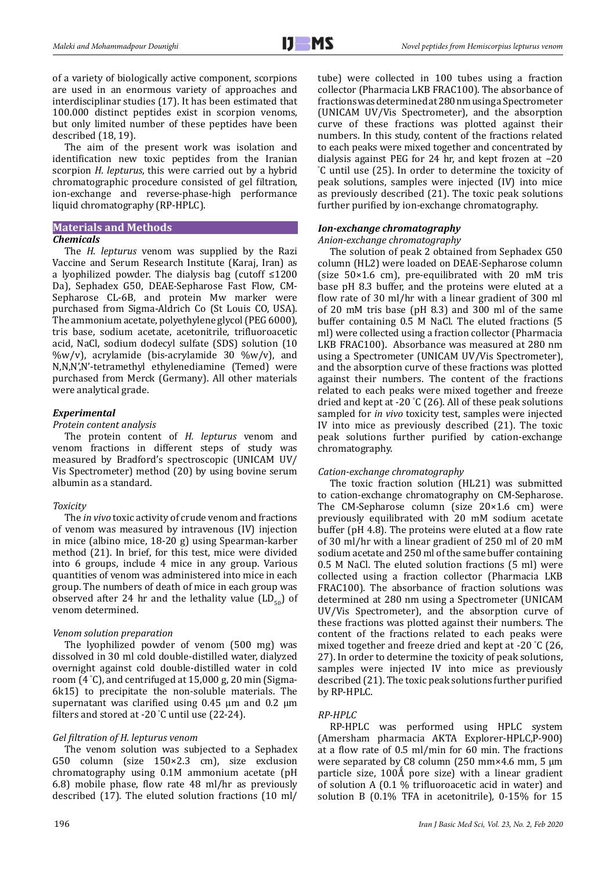of a variety of biologically active component, scorpions are used in an enormous variety of approaches and interdisciplinar studies (17). It has been estimated that 100.000 distinct peptides exist in scorpion venoms, but only limited number of these peptides have been described (18, 19).

The aim of the present work was isolation and identification new toxic peptides from the Iranian scorpion *H. lepturus*, this were carried out by a hybrid chromatographic procedure consisted of gel filtration, ion-exchange and reverse-phase-high performance liquid chromatography (RP-HPLC).

# **Materials and Methods**

# *Chemicals*

The *H. lepturus* venom was supplied by the Razi Vaccine and Serum Research Institute (Karaj, Iran) as a lyophilized powder. The dialysis bag (cutoff ≤1200 Da), Sephadex G50, DEAE-Sepharose Fast Flow, CM-Sepharose CL-6B, and protein Mw marker were purchased from Sigma-Aldrich Co (St Louis CO, USA). The ammonium acetate, polyethylene glycol (PEG 6000), tris base, sodium acetate, acetonitrile, trifluoroacetic acid, NaCl, sodium dodecyl sulfate (SDS) solution (10  $\%w/v$ , acrylamide (bis-acrylamide 30  $\%w/v$ ), and N,N,N',N'-tetramethyl ethylenediamine (Temed) were purchased from Merck (Germany). All other materials were analytical grade.

# *Experimental*

# *Protein content analysis*

The protein content of *H. lepturus* venom and venom fractions in different steps of study was measured by Bradford's spectroscopic (UNICAM UV/ Vis Spectrometer) method (20) by using bovine serum albumin as a standard.

# *Toxicity*

The *in vivo* toxic activity of crude venom and fractions of venom was measured by intravenous (IV) injection in mice (albino mice, 18-20 g) using Spearman-karber method (21). In brief, for this test, mice were divided into 6 groups, include 4 mice in any group. Various quantities of venom was administered into mice in each group. The numbers of death of mice in each group was observed after 24 hr and the lethality value  $(LD_{50})$  of venom determined.

# *Venom solution preparation*

The lyophilized powder of venom (500 mg) was dissolved in 30 ml cold double-distilled water, dialyzed overnight against cold double-distilled water in cold room (4 ° C), and centrifuged at 15,000 g, 20 min (Sigma-6k15) to precipitate the non-soluble materials. The supernatant was clarified using 0.45 µm and 0.2 µm filters and stored at -20 ° C until use (22-24).

# *Gel filtration of H. lepturus venom*

The venom solution was subjected to a Sephadex G50 column (size 150×2.3 cm), size exclusion chromatography using 0.1M ammonium acetate (pH 6.8) mobile phase, flow rate 48 ml/hr as previously described (17). The eluted solution fractions (10 ml/

tube) were collected in 100 tubes using a fraction collector (Pharmacia LKB FRAC100). The absorbance of fractions was determined at 280 nm using a Spectrometer (UNICAM UV/Vis Spectrometer), and the absorption curve of these fractions was plotted against their numbers. In this study, content of the fractions related to each peaks were mixed together and concentrated by dialysis against PEG for 24 hr, and kept frozen at −20 ° C until use (25). In order to determine the toxicity of peak solutions, samples were injected (IV) into mice as previously described (21). The toxic peak solutions further purified by ion-exchange chromatography.

# *Ion-exchange chromatography*

## *Anion-exchange chromatography*

The solution of peak 2 obtained from Sephadex G50 column (HL2) were loaded on DEAE-Sepharose column (size  $50\times1.6$  cm), pre-equilibrated with 20 mM tris base pH 8.3 buffer, and the proteins were eluted at a flow rate of 30 ml/hr with a linear gradient of 300 ml of 20 mM tris base (pH 8.3) and 300 ml of the same buffer containing 0.5 M NaCl. The eluted fractions (5 ml) were collected using a fraction collector (Pharmacia LKB FRAC100). Absorbance was measured at 280 nm using a Spectrometer (UNICAM UV/Vis Spectrometer), and the absorption curve of these fractions was plotted against their numbers. The content of the fractions related to each peaks were mixed together and freeze dried and kept at -20 ° C (26). All of these peak solutions sampled for *in vivo* toxicity test, samples were injected IV into mice as previously described (21). The toxic peak solutions further purified by cation-exchange chromatography.

## *Cation-exchange chromatography*

The toxic fraction solution (HL21) was submitted to cation-exchange chromatography on CM-Sepharose. The CM-Sepharose column (size 20×1.6 cm) were previously equilibrated with 20 mM sodium acetate buffer (pH 4.8). The proteins were eluted at a flow rate of 30 ml/hr with a linear gradient of 250 ml of 20 mM sodium acetate and 250 ml of the same buffer containing 0.5 M NaCl. The eluted solution fractions (5 ml) were collected using a fraction collector (Pharmacia LKB FRAC100). The absorbance of fraction solutions was determined at 280 nm using a Spectrometer (UNICAM UV/Vis Spectrometer), and the absorption curve of these fractions was plotted against their numbers. The content of the fractions related to each peaks were mixed together and freeze dried and kept at -20 ° C (26, 27). In order to determine the toxicity of peak solutions, samples were injected IV into mice as previously described (21). The toxic peak solutions further purified by RP-HPLC.

## *RP-HPLC*

RP-HPLC was performed using HPLC system (Amersham pharmacia AKTA Explorer-HPLC,P-900) at a flow rate of 0.5 ml/min for 60 min. The fractions were separated by C8 column (250 mm×4.6 mm, 5 μm particle size,  $100\text{\AA}$  pore size) with a linear gradient of solution A (0.1 % trifluoroacetic acid in water) and solution B (0.1% TFA in acetonitrile), 0-15% for 15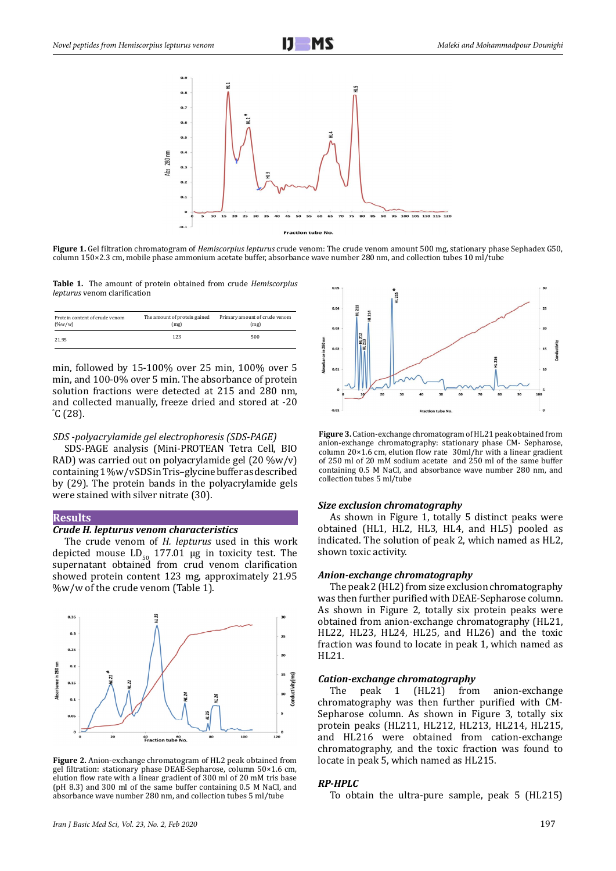

**Figure 1.** Gel filtration chromatogram of *Hemiscorpius lepturus* crude venom: The crude venom amount 500 mg, stationary phase Sephadex G50, column 150×2.3 cm, mobile phase ammonium acetate buffer, absorbance wave number 280 nm, and collection tubes 10 ml/tube

**Table 1.** The amount of protein obtained from crude *Hemiscorpius lepturus* venom clarification

| Protein content of crude venom | The amount of protein gained | Primary amount of crude venom |  |  |  |
|--------------------------------|------------------------------|-------------------------------|--|--|--|
| $(\%w/w)$                      | (mg)                         | (mg)                          |  |  |  |
| 21.95                          | 123                          | 500                           |  |  |  |

min, followed by 15-100% over 25 min, 100% over 5 min, and 100-0% over 5 min. The absorbance of protein solution fractions were detected at 215 and 280 nm, and collected manually, freeze dried and stored at -20 ° C (28).

#### *SDS -polyacrylamide gel electrophoresis (SDS-PAGE)*

SDS-PAGE analysis (Mini-PROTEAN Tetra Cell, BIO RAD) was carried out on polyacrylamide gel (20 %w/v) containing 1 %w/v SDS in Tris–glycine buffer as described by (29). The protein bands in the polyacrylamide gels were stained with silver nitrate (30).

#### **Results**

### *Crude H. lepturus venom characteristics*

The crude venom of *H. lepturus* used in this work depicted mouse  $LD_{50}$  177.01 µg in toxicity test. The supernatant obtained from crud venom clarification showed protein content 123 mg, approximately 21.95 %w/w of the crude venom (Table 1).



**Figure 2.** Anion-exchange chromatogram of HL2 peak obtained from gel filtration: stationary phase DEAE-Sepharose, column 50×1.6 cm, elution flow rate with a linear gradient of 300 ml of 20 mM tris base (pH 8.3) and 300 ml of the same buffer containing 0.5 M NaCl, and absorbance wave number 280 nm, and collection tubes 5 ml/tube



**Figure 3.** Cation-exchange chromatogram of HL21 peak obtained from anion-exchange chromatography: stationary phase CM- Sepharose, column 20×1.6 cm, elution flow rate 30ml/hr with a linear gradient of 250 ml of 20 mM sodium acetate and 250 ml of the same buffer containing 0.5 M NaCl, and absorbance wave number 280 nm, and collection tubes 5 ml/tube

#### *Size exclusion chromatography*

As shown in Figure 1, totally 5 distinct peaks were obtained (HL1, HL2, HL3, HL4, and HL5) pooled as indicated. The solution of peak 2, which named as HL2, shown toxic activity.

#### *Anion-exchange chromatography*

The peak 2 (HL2) from size exclusion chromatography was then further purified with DEAE-Sepharose column. 3 As shown in Figure 2, totally six protein peaks were obtained from anion-exchange chromatography (HL21, HL22, HL23, HL24, HL25, and HL26) and the toxic fraction was found to locate in peak 1, which named as HL21.

### *Cation-exchange chromatography*

The peak 1 (HL21) from anion-exchange chromatography was then further purified with CM-Sepharose column. As shown in Figure 3, totally six protein peaks (HL211, HL212, HL213, HL214, HL215, and HL216 were obtained from cation-exchange chromatography, and the toxic fraction was found to locate in peak 5, which named as HL215.

## *RP-HPLC*

To obtain the ultra-pure sample, peak 5 (HL215)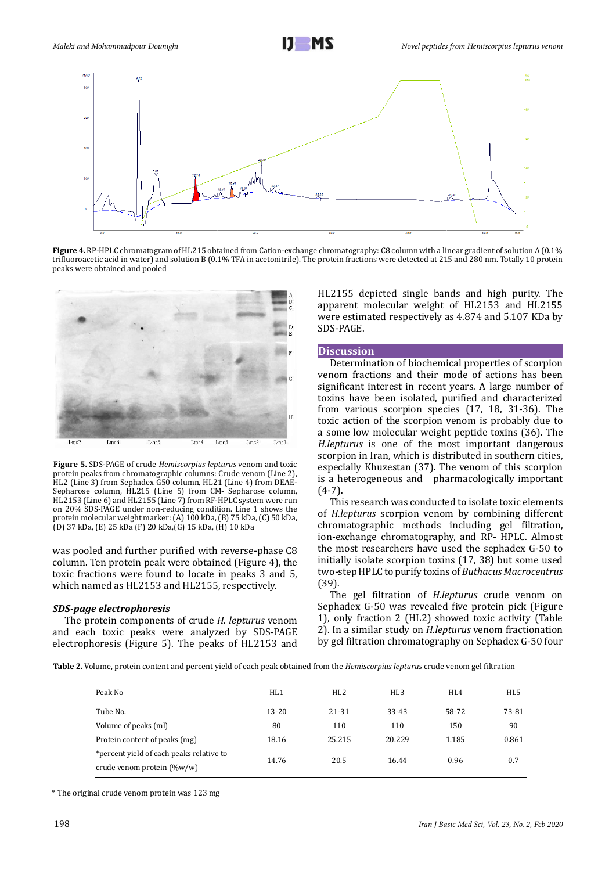

**Figure 4.** RP-HPLC chromatogram of HL215 obtained from Cation-exchange chromatography: C8 column with a linear gradient of solution A (0.1% trifluoroacetic acid in water) and solution B (0.1% TFA in acetonitrile). The protein fractions were detected at 215 and 280 nm. Totally 10 protein peaks were obtained and pooled



**Figure 5.** SDS-PAGE of crude *Hemiscorpius lepturus* venom and toxic protein peaks from chromatographic columns: Crude venom (Line 2), HL2 (Line 3) from Sephadex G50 column, HL21 (Line 4) from DEAE-Sepharose column, HL215 (Line 5) from CM- Sepharose column, HL2153 (Line 6) and HL2155 (Line 7) from RF-HPLC system were run on 20% SDS-PAGE under non-reducing condition. Line 1 shows the protein molecular weight marker: (A) 100 kDa, (B) 75 kDa, (C) 50 kDa, (D) 37 kDa, (E) 25 kDa (F) 20 kDa,(G) 15 kDa, (H) 10 kDa

was pooled and further purified with reverse-phase C8 column. Ten protein peak were obtained (Figure 4), the toxic fractions were found to locate in peaks 3 and 5, which named as HL2153 and HL2155, respectively.

#### *SDS-page electrophoresis*

The protein components of crude *H. lepturus* venom and each toxic peaks were analyzed by SDS-PAGE electrophoresis (Figure 5). The peaks of HL2153 and

HL2155 depicted single bands and high purity. The apparent molecular weight of HL2153 and HL2155 were estimated respectively as 4.874 and 5.107 KDa by SDS-PAGE.

#### **Discussion**

Determination of biochemical properties of scorpion venom fractions and their mode of actions has been significant interest in recent years. A large number of toxins have been isolated, purified and characterized from various scorpion species (17, 18, 31-36). The toxic action of the scorpion venom is probably due to a some low molecular weight peptide toxins (36). The *H.lepturus* is one of the most important dangerous scorpion in Iran, which is distributed in southern cities, especially Khuzestan (37). The venom of this scorpion is a heterogeneous and pharmacologically important (4-7).

This research was conducted to isolate toxic elements of *H.lepturus* scorpion venom by combining different chromatographic methods including gel filtration, ion-exchange chromatography, and RP- HPLC. Almost the most researchers have used the sephadex G-50 to initially isolate scorpion toxins (17, 38) but some used two-step HPLC to purify toxins of *Buthacus Macrocentrus* (39).

The gel filtration of *H.lepturus* crude venom on Sephadex G-50 was revealed five protein pick (Figure 1), only fraction 2 (HL2) showed toxic activity (Table 2). In a similar study on *H.lepturus* venom fractionation by gel filtration chromatography on Sephadex G-50 four

**Table 2.** Volume, protein content and percent yield of each peak obtained from the *Hemiscorpius lepturus* crude venom gel filtration

| Peak No                                  | HL1   | HI.2   | HL <sub>3</sub> | HI.4  | HL5   |
|------------------------------------------|-------|--------|-----------------|-------|-------|
|                                          |       |        |                 |       |       |
| Tube No.                                 | 13-20 | 21-31  | 33-43           | 58-72 | 73-81 |
| Volume of peaks (ml)                     | 80    | 110    | 110             | 150   | 90    |
| Protein content of peaks (mg)            | 18.16 | 25.215 | 20.229          | 1.185 | 0.861 |
| *percent yield of each peaks relative to | 14.76 | 20.5   | 16.44           | 0.96  | 0.7   |
| crude venom protein $(\%w/w)$            |       |        |                 |       |       |

\* The original crude venom protein was 123 mg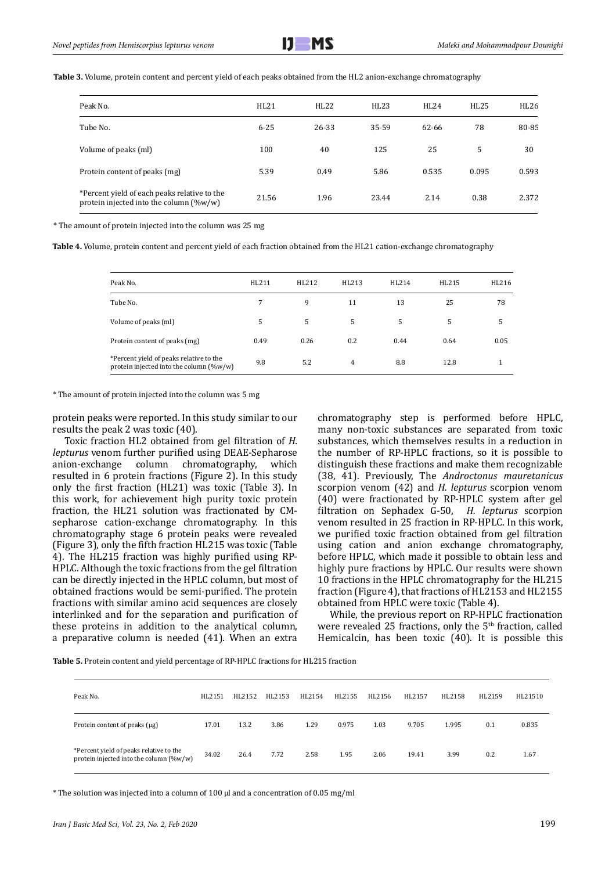**Table 3.** Volume, protein content and percent yield of each peaks obtained from the HL2 anion-exchange chromatography

| Peak No.                                                                                   | HL21     | HL22  | HL23  | <b>HL24</b> | HL25  | HL26  |
|--------------------------------------------------------------------------------------------|----------|-------|-------|-------------|-------|-------|
| Tube No.                                                                                   | $6 - 25$ | 26-33 | 35-59 | 62-66       | 78    | 80-85 |
| Volume of peaks (ml)                                                                       | 100      | 40    | 125   | 25          | 5     | 30    |
| Protein content of peaks (mg)                                                              | 5.39     | 0.49  | 5.86  | 0.535       | 0.095 | 0.593 |
| *Percent yield of each peaks relative to the<br>protein injected into the column $(\%w/w)$ | 21.56    | 1.96  | 23.44 | 2.14        | 0.38  | 2.372 |

\* The amount of protein injected into the column was 25 mg

**Table 4.** Volume, protein content and percent yield of each fraction obtained from the HL21 cation-exchange chromatography

| Peak No.                                                                           | HL211 | HL212 | HL213          | HL214 | HL215 | HL216 |
|------------------------------------------------------------------------------------|-------|-------|----------------|-------|-------|-------|
| Tube No.                                                                           | 7     | 9     | 11             | 13    | 25    | 78    |
| Volume of peaks (ml)                                                               | 5     | 5     | 5              | 5     | 5     | 5     |
| Protein content of peaks (mg)                                                      | 0.49  | 0.26  | 0.2            | 0.44  | 0.64  | 0.05  |
| *Percent yield of peaks relative to the<br>protein injected into the column (%w/w) | 9.8   | 5.2   | $\overline{4}$ | 8.8   | 12.8  |       |

\* The amount of protein injected into the column was 5 mg

protein peaks were reported. In this study similar to our results the peak 2 was toxic (40).

Toxic fraction HL2 obtained from gel filtration of *H. lepturus* venom further purified using DEAE-Sepharose anion-exchange column chromatography, resulted in 6 protein fractions (Figure 2). In this study only the first fraction (HL21) was toxic (Table 3). In this work, for achievement high purity toxic protein fraction, the HL21 solution was fractionated by CMsepharose cation-exchange chromatography. In this chromatography stage 6 protein peaks were revealed (Figure 3), only the fifth fraction HL215 was toxic (Table 4). The HL215 fraction was highly purified using RP-HPLC. Although the toxic fractions from the gel filtration can be directly injected in the HPLC column, but most of obtained fractions would be semi-purified. The protein fractions with similar amino acid sequences are closely interlinked and for the separation and purification of these proteins in addition to the analytical column, a preparative column is needed (41). When an extra

chromatography step is performed before HPLC, many non-toxic substances are separated from toxic substances, which themselves results in a reduction in the number of RP-HPLC fractions, so it is possible to distinguish these fractions and make them recognizable (38, 41). Previously, The *Androctonus mauretanicus* scorpion venom (42) and *H. lepturus* scorpion venom (40) were fractionated by RP-HPLC system after gel filtration on Sephadex G-50, *H. lepturus* scorpion venom resulted in 25 fraction in RP-HPLC. In this work, we purified toxic fraction obtained from gel filtration using cation and anion exchange chromatography, before HPLC, which made it possible to obtain less and highly pure fractions by HPLC. Our results were shown 10 fractions in the HPLC chromatography for the HL215 fraction (Figure 4), that fractions of HL2153 and HL2155 obtained from HPLC were toxic (Table 4).

While, the previous report on RP-HPLC fractionation were revealed 25 fractions, only the  $5<sup>th</sup>$  fraction, called Hemicalcin, has been toxic (40). It is possible this

**Table 5.** Protein content and yield percentage of RP-HPLC fractions for HL215 fraction

| Peak No.                                                                           | HL2151 | HL2152 | HL2153 | HL2154 | HL2155 | HL2156 | HL2157 | HL2158 | HL2159 | HL21510 |
|------------------------------------------------------------------------------------|--------|--------|--------|--------|--------|--------|--------|--------|--------|---------|
| Protein content of peaks (µg)                                                      | 17.01  | 13.2   | 3.86   | 1.29   | 0.975  | 1.03   | 9.705  | 1.995  | 0.1    | 0.835   |
| *Percent yield of peaks relative to the<br>protein injected into the column (%w/w) | 34.02  | 26.4   | 7.72   | 2.58   | 1.95   | 2.06   | 19.41  | 3.99   | 0.2    | 1.67    |

\* The solution was injected into a column of 100 µl and a concentration of 0.05 mg/ml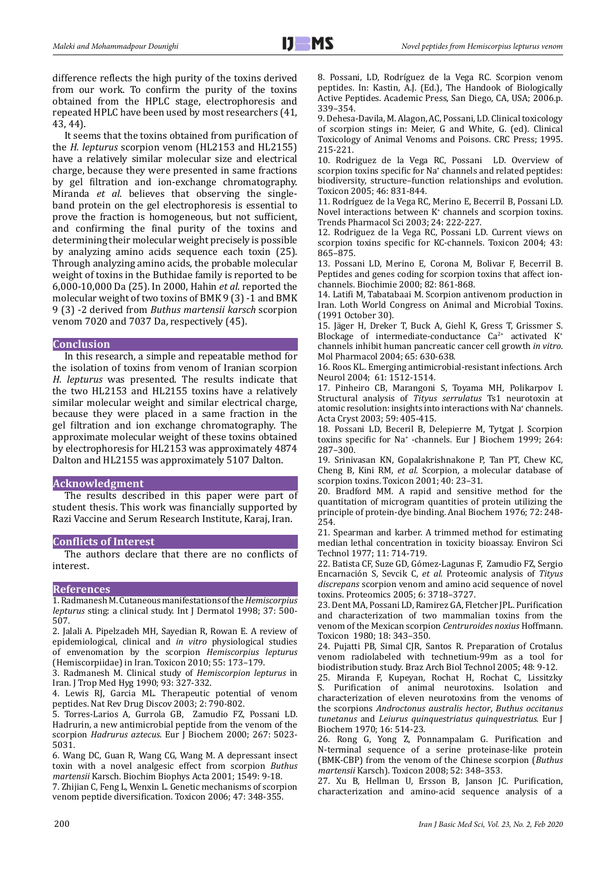difference reflects the high purity of the toxins derived from our work. To confirm the purity of the toxins obtained from the HPLC stage, electrophoresis and repeated HPLC have been used by most researchers (41, 43, 44).

It seems that the toxins obtained from purification of the *H. lepturus* scorpion venom (HL2153 and HL2155) have a relatively similar molecular size and electrical charge, because they were presented in same fractions by gel filtration and ion-exchange chromatography. Miranda *et al.* believes that observing the singleband protein on the gel electrophoresis is essential to prove the fraction is homogeneous, but not sufficient, and confirming the final purity of the toxins and determining their molecular weight precisely is possible by analyzing amino acids sequence each toxin (25). Through analyzing amino acids, the probable molecular weight of toxins in the Buthidae family is reported to be 6,000-10,000 Da (25). In 2000, Hahin *et al.* reported the molecular weight of two toxins of BMK 9 (3) -1 and BMK 9 (3) -2 derived from *Buthus martensii karsch* scorpion venom 7020 and 7037 Da, respectively (45).

## **Conclusion**

In this research, a simple and repeatable method for the isolation of toxins from venom of Iranian scorpion *H. lepturus* was presented. The results indicate that the two HL2153 and HL2155 toxins have a relatively similar molecular weight and similar electrical charge, because they were placed in a same fraction in the gel filtration and ion exchange chromatography. The approximate molecular weight of these toxins obtained by electrophoresis for HL2153 was approximately 4874 Dalton and HL2155 was approximately 5107 Dalton.

## **Acknowledgment**

The results described in this paper were part of student thesis. This work was financially supported by Razi Vaccine and Serum Research Institute, Karaj, Iran.

## **Conflicts of Interest**

The authors declare that there are no conflicts of interest.

#### **References**

1. Radmanesh M. Cutaneous manifestations of the *Hemiscorpius lepturus* sting: a clinical study. Int J Dermatol 1998; 37: 500- 507.

2. Jalali A. Pipelzadeh MH, Sayedian R, Rowan E. A review of epidemiological, clinical and *in vitro* physiological studies of envenomation by the scorpion *Hemiscorpius lepturus* (Hemiscorpiidae) in Iran. Toxicon 2010; 55: 173–179.

3. Radmanesh M. Clinical study of *Hemiscorpion lepturus* in Iran. J Trop Med Hyg 1990; 93: 327-332.

4. Lewis RJ, Garcia ML. Therapeutic potential of venom peptides. Nat Rev Drug Discov 2003; 2: 790-802.

5. Torres-Larios A, Gurrola GB, Zamudio FZ, Possani LD. Hadrurin, a new antimicrobial peptide from the venom of the scorpion *Hadrurus aztecus*. Eur J Biochem 2000; 267: 5023- 5031.

6. Wang DC, Guan R, Wang CG, Wang M. A depressant insect toxin with a novel analgesic effect from scorpion *Buthus martensii* Karsch. Biochim Biophys Acta 2001; 1549: 9-18.

7. Zhijian C, Feng L, Wenxin L. Genetic mechanisms of scorpion venom peptide diversification. Toxicon 2006; 47: 348-355.

8. Possani, LD, Rodríguez de la Vega RC. Scorpion venom peptides. In: Kastin, A.J. (Ed.), The Handook of Biologically Active Peptides. Academic Press, San Diego, CA, USA; 2006.p. 339–354.

9. Dehesa-Davila, M. Alagon, AC, Possani, LD. Clinical toxicology of scorpion stings in: Meier, G and White, G. (ed). Clinical Toxicology of Animal Venoms and Poisons. CRC Press; 1995. 215-221.

10. Rodriguez de la Vega RC, Possani LD. Overview of scorpion toxins specific for Na<sup>+</sup> channels and related peptides: biodiversity, structure–function relationships and evolution. Toxicon 2005; 46: 831-844.

11. Rodríguez de la Vega RC, Merino E, Becerril B, Possani LD. Novel interactions between  $K^*$  channels and scorpion toxins. Trends Pharmacol Sci 2003; 24: 222-227.

12. Rodriguez de la Vega RC, Possani LD. Current views on scorpion toxins specific for KC-channels. Toxicon 2004; 43: 865–875.

13. Possani LD, Merino E, Corona M, Bolivar F, Becerril B. Peptides and genes coding for scorpion toxins that affect ionchannels. Biochimie 2000; 82: 861-868.

14. Latifi M, Tabatabaai M. Scorpion antivenom production in Iran. Loth World Congress on Animal and Microbial Toxins. (1991 October 30).

15. Jäger H, Dreker T, Buck A, Giehl K, Gress T, Grissmer S. Blockage of intermediate-conductance  $Ca^{2+}$  activated  $K^+$ channels inhibit human pancreatic cancer cell growth *in vitro*. Mol Pharmacol 2004; 65: 630-638.

16. Roos KL. Emerging antimicrobial-resistant infections. Arch Neurol 2004; 61: 1512-1514.

17. Pinheiro CB, Marangoni S, Toyama MH, Polikarpov I. Structural analysis of *Tityus serrulatus* Ts1 neurotoxin at atomic resolution: insights into interactions with Na<sup>+</sup> channels. Acta Cryst 2003; 59: 405-415.

18. Possani LD, Beceril B, Delepierre M, Tytgat J. Scorpion toxins specific for Na<sup>+</sup> -channels. Eur J Biochem 1999; 264: 287–300.

19. Srinivasan KN, Gopalakrishnakone P, Tan PT, Chew KC, Cheng B, Kini RM, *et al.* Scorpion, a molecular database of scorpion toxins. Toxicon 2001; 40: 23–31.

20. Bradford MM. A rapid and sensitive method for the quantitation of microgram quantities of protein utilizing the principle of protein-dye binding. Anal Biochem 1976; 72: 248- 254.

21. Spearman and karber. A trimmed method for estimating median lethal concentration in toxicity bioassay. Environ Sci Technol 1977; 11: 714-719.

22. Batista CF, Suze GD, Gómez-Lagunas F, Zamudio FZ, Sergio Encarnación S, Sevcik C, *et al.* Proteomic analysis of *Tityus discrepans* scorpion venom and amino acid sequence of novel toxins. Proteomics 2005; 6: 3718–3727.

23. Dent MA, Possani LD, Ramirez GA, Fletcher JPL. Purification and characterization of two mammalian toxins from the venom of the Mexican scorpion *Centruroides noxius* Hoffmann. Toxicon 1980; 18: 343–350.

24. Pujatti PB, Simal CJR, Santos R. Preparation of Crotalus venom radiolabeled with technetium-99m as a tool for biodistribution study. Braz Arch Biol Technol 2005; 48: 9-12.

25. Miranda F, Kupeyan, Rochat H, Rochat C, Lissitzky S. Purification of animal neurotoxins. Isolation and characterization of eleven neurotoxins from the venoms of the scorpions *Androctonus australis hector*, *Buthus occitanus tunetanus* and *Leiurus quinquestriatus quinquestriatus*. Eur J Biochem 1970; 16: 514-23.

26. Rong G, Yong Z, Ponnampalam G. Purification and N-terminal sequence of a serine proteinase-like protein (BMK-CBP) from the venom of the Chinese scorpion (*Buthus martensii* Karsch). Toxicon 2008; 52: 348–353.

27. Xu B, Hellman U, Ersson B, Janson JC. Purification, characterization and amino-acid sequence analysis of a